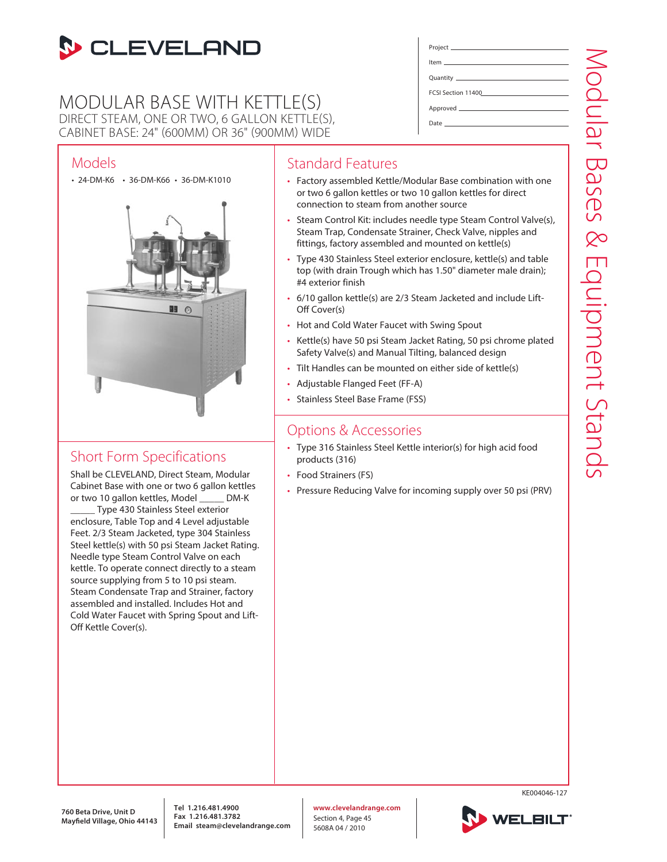

## MODULAR BASE WITH KETTLE(S) DIRECT STEAM, ONE OR TWO, 6 GALLON KETTLE(S), CABINET BASE: 24" (600MM) OR 36" (900MM) WIDE

## Models

• 24-DM-K6 • 36-DM-K66 • 36-DM-K1010



# Short Form Specifications

Shall be CLEVELAND, Direct Steam, Modular Cabinet Base with one or two 6 gallon kettles or two 10 gallon kettles, Model \_\_\_\_\_ DM-K Type 430 Stainless Steel exterior enclosure, Table Top and 4 Level adjustable Feet. 2/3 Steam Jacketed, type 304 Stainless Steel kettle(s) with 50 psi Steam Jacket Rating. Needle type Steam Control Valve on each kettle. To operate connect directly to a steam source supplying from 5 to 10 psi steam. Steam Condensate Trap and Strainer, factory assembled and installed. Includes Hot and Cold Water Faucet with Spring Spout and Lift-Off Kettle Cover(s).

### Standard Features

• Factory assembled Kettle/Modular Base combination with one or two 6 gallon kettles or two 10 gallon kettles for direct connection to steam from another source

Project Item Quantity FCSI Section 11400 Approved Date

- Steam Control Kit: includes needle type Steam Control Valve(s), Steam Trap, Condensate Strainer, Check Valve, nipples and fittings, factory assembled and mounted on kettle(s)
- Type 430 Stainless Steel exterior enclosure, kettle(s) and table top (with drain Trough which has 1.50" diameter male drain); #4 exterior finish
- 6/10 gallon kettle(s) are 2/3 Steam Jacketed and include Lift-Off Cover(s)
- Hot and Cold Water Faucet with Swing Spout
- Kettle(s) have 50 psi Steam Jacket Rating, 50 psi chrome plated Safety Valve(s) and Manual Tilting, balanced design
- Tilt Handles can be mounted on either side of kettle(s)
- Adjustable Flanged Feet (FF-A)
- Stainless Steel Base Frame (FSS)

### Options & Accessories

- Type 316 Stainless Steel Kettle interior(s) for high acid food products (316)
- Food Strainers (FS)
- Pressure Reducing Valve for incoming supply over 50 psi (PRV)

**760 Beta Drive, Unit D Mayfield Village, Ohio 44143**  **Tel 1.216.481.4900 Fax 1.216.481.3782 Email steam@clevelandrange.com** **www.clevelandrange.com** Section 4, Page 45 5608A 04 / 2010